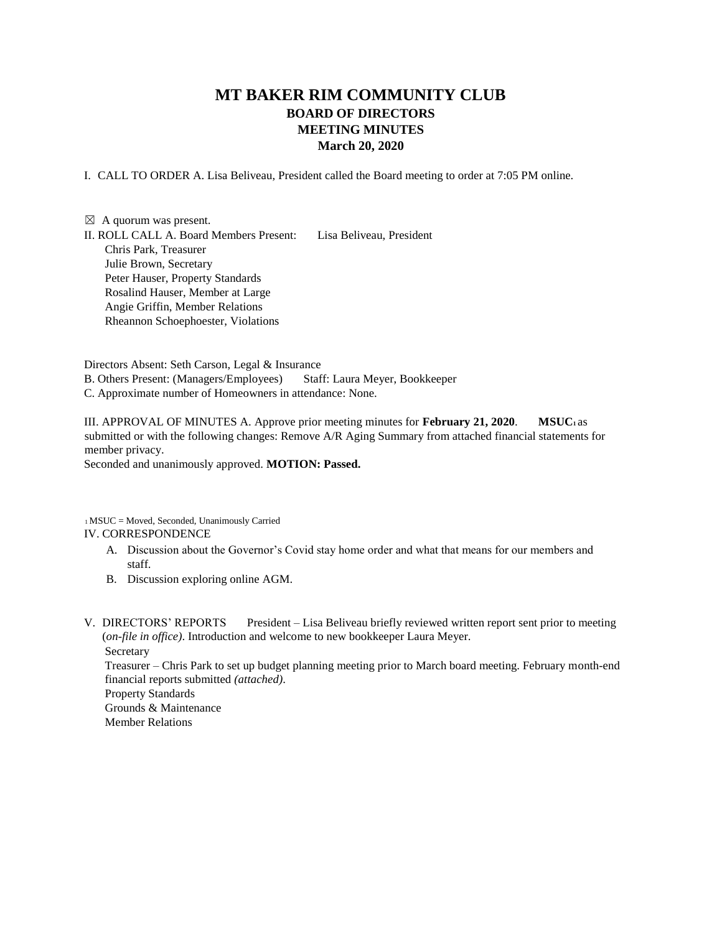## **MT BAKER RIM COMMUNITY CLUB BOARD OF DIRECTORS MEETING MINUTES March 20, 2020**

I. CALL TO ORDER A. Lisa Beliveau, President called the Board meeting to order at 7:05 PM online.

 $\boxtimes$  A quorum was present. II. ROLL CALL A. Board Members Present: Lisa Beliveau, President Chris Park, Treasurer Julie Brown, Secretary Peter Hauser, Property Standards Rosalind Hauser, Member at Large Angie Griffin, Member Relations Rheannon Schoephoester, Violations

Directors Absent: Seth Carson, Legal & Insurance B. Others Present: (Managers/Employees) Staff: Laura Meyer, Bookkeeper C. Approximate number of Homeowners in attendance: None.

III. APPROVAL OF MINUTES A. Approve prior meeting minutes for **February 21, 2020**. **MSUC<sup>1</sup>** as submitted or with the following changes: Remove A/R Aging Summary from attached financial statements for member privacy. Seconded and unanimously approved. **MOTION: Passed.** 

<sup>1</sup> MSUC = Moved, Seconded, Unanimously Carried

## IV. CORRESPONDENCE

- A. Discussion about the Governor's Covid stay home order and what that means for our members and staff.
- B. Discussion exploring online AGM.

V. DIRECTORS' REPORTS President – Lisa Beliveau briefly reviewed written report sent prior to meeting (*on-file in office)*. Introduction and welcome to new bookkeeper Laura Meyer. Secretary

Treasurer – Chris Park to set up budget planning meeting prior to March board meeting. February month-end financial reports submitted *(attached)*.

Property Standards Grounds & Maintenance

Member Relations